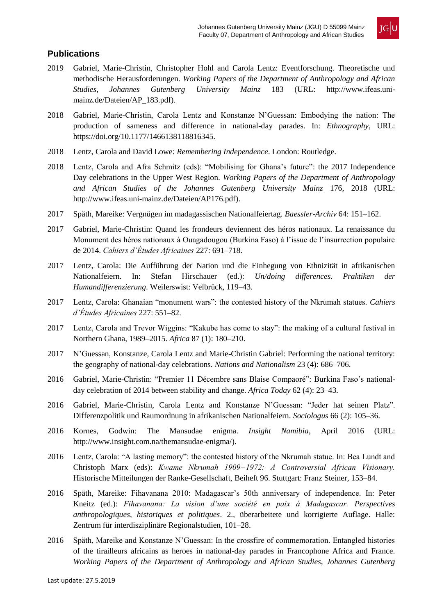

## **Publications**

- 2019 Gabriel, Marie-Christin, Christopher Hohl and Carola Lentz: Eventforschung. Theoretische und methodische Herausforderungen. *Working Papers of the Department of Anthropology and African Studies, Johannes Gutenberg University Mainz* 183 (URL: http://www.ifeas.unimainz.de/Dateien/AP\_183.pdf).
- 2018 Gabriel, Marie-Christin, Carola Lentz and Konstanze N'Guessan: Embodying the nation: The production of sameness and difference in national-day parades. In: *Ethnography*, URL: https://doi.org/10.1177/1466138118816345.
- 2018 Lentz, Carola and David Lowe: *Remembering Independence*. London: Routledge.
- 2018 Lentz, Carola and Afra Schmitz (eds): "Mobilising for Ghana's future": the 2017 Independence Day celebrations in the Upper West Region. *Working Papers of the Department of Anthropology and African Studies of the Johannes Gutenberg University Mainz* 176, 2018 (URL: http://www.ifeas.uni-mainz.de/Dateien/AP176.pdf).
- 2017 Späth, Mareike: Vergnügen im madagassischen Nationalfeiertag. *Baessler-Archiv* 64: 151–162.
- 2017 Gabriel, Marie-Christin: Quand les frondeurs deviennent des héros nationaux. La renaissance du Monument des héros nationaux à Ouagadougou (Burkina Faso) à l'issue de l'insurrection populaire de 2014. *Cahiers d'Études Africaines* 227: 691–718.
- 2017 Lentz, Carola: Die Aufführung der Nation und die Einhegung von Ethnizität in afrikanischen Nationalfeiern. In: Stefan Hirschauer (ed.): *Un/doing differences. Praktiken der Humandifferenzierung*. Weilerswist: Velbrück, 119–43.
- 2017 Lentz, Carola: Ghanaian "monument wars": the contested history of the Nkrumah statues. *Cahiers d'Études Africaines* 227: 551–82.
- 2017 Lentz, Carola and Trevor Wiggins: "Kakube has come to stay": the making of a cultural festival in Northern Ghana, 1989–2015. *Africa* 87 (1): 180–210.
- 2017 N'Guessan, Konstanze, Carola Lentz and Marie-Christin Gabriel: Performing the national territory: the geography of national-day celebrations. *Nations and Nationalism* 23 (4): 686–706.
- 2016 Gabriel, Marie-Christin: "Premier 11 Décembre sans Blaise Compaoré": Burkina Faso's nationalday celebration of 2014 between stability and change. *Africa Today* 62 (4): 23–43.
- 2016 Gabriel, Marie-Christin, Carola Lentz and Konstanze N'Guessan: "Jeder hat seinen Platz". Differenzpolitik und Raumordnung in afrikanischen Nationalfeiern. *Sociologus* 66 (2): 105–36.
- 2016 Kornes, Godwin: The Mansudae enigma. *Insight Namibia*, April 2016 (URL: http://www.insight.com.na/themansudae-enigma/).
- 2016 Lentz, Carola: "A lasting memory": the contested history of the Nkrumah statue. In: Bea Lundt and Christoph Marx (eds): *Kwame Nkrumah 1909−1972: A Controversial African Visionary.*  Historische Mitteilungen der Ranke-Gesellschaft, Beiheft 96. Stuttgart: Franz Steiner, 153–84.
- 2016 Späth, Mareike: Fihavanana 2010: Madagascar's 50th anniversary of independence. In: Peter Kneitz (ed.): *Fihavanana: La vision d'une société en paix à Madagascar. Perspectives anthropologiques, historiques et politiques*. 2., überarbeitete und korrigierte Auflage. Halle: Zentrum für interdisziplinäre Regionalstudien, 101–28.
- 2016 Späth, Mareike and Konstanze N'Guessan: In the crossfire of commemoration. Entangled histories of the tirailleurs africains as heroes in national-day parades in Francophone Africa and France. *Working Papers of the Department of Anthropology and African Studies, Johannes Gutenberg*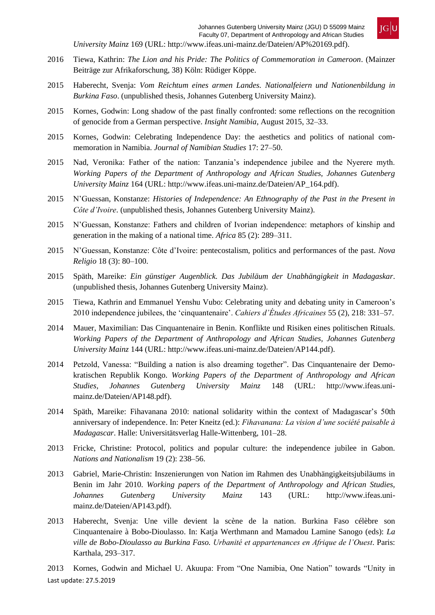

*University Mainz* 169 (URL: http://www.ifeas.uni-mainz.de/Dateien/AP%20169.pdf).

- 2016 Tiewa, Kathrin: *The Lion and his Pride: The Politics of Commemoration in Cameroon*. (Mainzer Beiträge zur Afrikaforschung, 38) Köln: Rüdiger Köppe.
- 2015 Haberecht, Svenja: *Vom Reichtum eines armen Landes. Nationalfeiern und Nationenbildung in Burkina Faso*. (unpublished thesis, Johannes Gutenberg University Mainz).
- 2015 Kornes, Godwin: Long shadow of the past finally confronted: some reflections on the recognition of genocide from a German perspective. *Insight Namibia*, August 2015, 32–33.
- 2015 Kornes, Godwin: Celebrating Independence Day: the aesthetics and politics of national commemoration in Namibia. *Journal of Namibian Studies* 17: 27–50.
- 2015 Nad, Veronika: Father of the nation: Tanzania's independence jubilee and the Nyerere myth. *Working Papers of the Department of Anthropology and African Studies, Johannes Gutenberg University Mainz* 164 (URL: http://www.ifeas.uni-mainz.de/Dateien/AP\_164.pdf).
- 2015 N'Guessan, Konstanze: *Histories of Independence: An Ethnography of the Past in the Present in Côte d'Ivoire*. (unpublished thesis, Johannes Gutenberg University Mainz).
- 2015 N'Guessan, Konstanze: Fathers and children of Ivorian independence: metaphors of kinship and generation in the making of a national time. *Africa* 85 (2): 289–311.
- 2015 N'Guessan, Konstanze: Côte d'Ivoire: pentecostalism, politics and performances of the past. *Nova Religio* 18 (3): 80–100.
- 2015 Späth, Mareike: *Ein günstiger Augenblick. Das Jubiläum der Unabhängigkeit in Madagaskar*. (unpublished thesis, Johannes Gutenberg University Mainz).
- 2015 Tiewa, Kathrin and Emmanuel Yenshu Vubo: Celebrating unity and debating unity in Cameroon's 2010 independence jubilees, the 'cinquantenaire'. *Cahiers d'Études Africaines* 55 (2), 218: 331–57.
- 2014 Mauer, Maximilian: Das Cinquantenaire in Benin. Konflikte und Risiken eines politischen Rituals. *Working Papers of the Department of Anthropology and African Studies, Johannes Gutenberg University Mainz* 144 (URL: http://www.ifeas.uni-mainz.de/Dateien/AP144.pdf).
- 2014 Petzold, Vanessa: "Building a nation is also dreaming together". Das Cinquantenaire der Demokratischen Republik Kongo. *Working Papers of the Department of Anthropology and African Studies, Johannes Gutenberg University Mainz* 148 (URL: http://www.ifeas.unimainz.de/Dateien/AP148.pdf).
- 2014 Späth, Mareike: Fihavanana 2010: national solidarity within the context of Madagascar's 50th anniversary of independence. In: Peter Kneitz (ed.): *Fihavanana: La vision d'une société paisable à Madagascar*. Halle: Universitätsverlag Halle-Wittenberg, 101–28.
- 2013 Fricke, Christine: Protocol, politics and popular culture: the independence jubilee in Gabon. *Nations and Nationalism* 19 (2): 238–56.
- 2013 Gabriel, Marie-Christin: Inszenierungen von Nation im Rahmen des Unabhängigkeitsjubiläums in Benin im Jahr 2010. *Working papers of the Department of Anthropology and African Studies, Johannes Gutenberg University Mainz* 143 (URL: [http://www.ifeas.uni](http://www.ifeas.uni-/)mainz.de/Dateien/AP143.pdf).
- 2013 Haberecht, Svenja: Une ville devient la scène de la nation. Burkina Faso célèbre son Cinquantenaire à Bobo-Dioulasso. In: Katja Werthmann and Mamadou Lamine Sanogo (eds): *La ville de Bobo-Dioulasso au Burkina Faso. Urbanité et appartenances en Afrique de l'Ouest*. Paris: Karthala, 293–317.

Last update: 27.5.2019 2013 Kornes, Godwin and Michael U. Akuupa: From "One Namibia, One Nation" towards "Unity in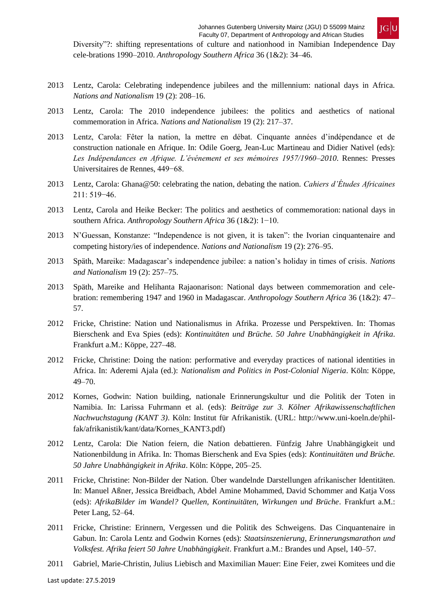

Diversity"?: shifting representations of culture and nationhood in Namibian Independence Day cele-brations 1990–2010. *Anthropology Southern Africa* 36 (1&2): 34–46.

- 2013 Lentz, Carola: Celebrating independence jubilees and the millennium: national days in Africa. *Nations and Nationalism* 19 (2): 208–16.
- 2013 Lentz, Carola: The 2010 independence jubilees: the politics and aesthetics of national commemoration in Africa. *Nations and Nationalism* 19 (2): 217–37.
- 2013 Lentz, Carola: Fêter la nation, la mettre en débat. Cinquante années d'indépendance et de construction nationale en Afrique. In: Odile Goerg, Jean-Luc Martineau and Didier Nativel (eds): *Les Indépendances en Afrique. L'événement et ses mémoires 1957/1960–2010*. Rennes: Presses Universitaires de Rennes, 449−68.
- 2013 Lentz, Carola: Ghana@50: celebrating the nation, debating the nation. *Cahiers d'Études Africaines*  211: 519−46.
- 2013 Lentz, Carola and Heike Becker: The politics and aesthetics of commemoration: national days in southern Africa. *Anthropology Southern Africa* 36 (1&2): 1−10.
- 2013 N'Guessan, Konstanze: "Independence is not given, it is taken": the Ivorian cinquantenaire and competing history/ies of independence. *Nations and Nationalism* 19 (2): 276–95.
- 2013 Späth, Mareike: Madagascar's independence jubilee: a nation's holiday in times of crisis. *Nations and Nationalism* 19 (2): 257–75.
- 2013 Späth, Mareike and Helihanta Rajaonarison: National days between commemoration and celebration: remembering 1947 and 1960 in Madagascar. *Anthropology Southern Africa* 36 (1&2): 47– 57.
- 2012 Fricke, Christine: Nation und Nationalismus in Afrika. Prozesse und Perspektiven. In: Thomas Bierschenk and Eva Spies (eds): *Kontinuitäten und Brüche. 50 Jahre Unabhängigkeit in Afrika*. Frankfurt a.M.: Köppe, 227–48.
- 2012 Fricke, Christine: Doing the nation: performative and everyday practices of national identities in Africa. In: Aderemi Ajala (ed.): *Nationalism and Politics in Post-Colonial Nigeria*. Köln: Köppe, 49–70.
- 2012 Kornes, Godwin: Nation building, nationale Erinnerungskultur und die Politik der Toten in Namibia. In: Larissa Fuhrmann et al. (eds): *Beiträge zur 3. Kölner Afrikawissenschaftlichen Nachwuchstagung (KANT 3)*. Köln: Institut für Afrikanistik. (URL: http://www.uni-koeln.de/philfak/afrikanistik/kant/data/Kornes\_KANT3.pdf)
- 2012 Lentz, Carola: Die Nation feiern, die Nation debattieren. Fünfzig Jahre Unabhängigkeit und Nationenbildung in Afrika. In: Thomas Bierschenk and Eva Spies (eds): *Kontinuitäten und Brüche. 50 Jahre Unabhängigkeit in Afrika*. Köln: Köppe, 205–25.
- 2011 Fricke, Christine: Non-Bilder der Nation. Über wandelnde Darstellungen afrikanischer Identitäten. In: Manuel Aßner, Jessica Breidbach, Abdel Amine Mohammed, David Schommer and Katja Voss (eds): *AfrikaBilder im Wandel? Quellen, Kontinuitäten, Wirkungen und Brüche*. Frankfurt a.M.: Peter Lang, 52–64.
- 2011 Fricke, Christine: Erinnern, Vergessen und die Politik des Schweigens. Das Cinquantenaire in Gabun. In: Carola Lentz and Godwin Kornes (eds): *Staatsinszenierung, Erinnerungsmarathon und Volksfest. Afrika feiert 50 Jahre Unabhängigkeit*. Frankfurt a.M.: Brandes und Apsel, 140–57.
- 2011 Gabriel, Marie-Christin, Julius Liebisch and Maximilian Mauer: Eine Feier, zwei Komitees und die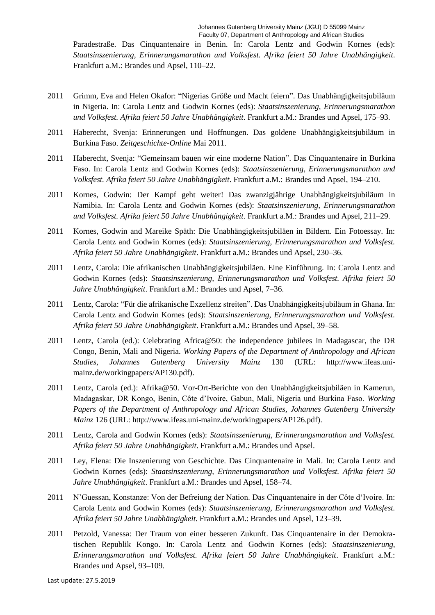Paradestraße. Das Cinquantenaire in Benin. In: Carola Lentz and Godwin Kornes (eds): *Staatsinszenierung, Erinnerungsmarathon und Volksfest. Afrika feiert 50 Jahre Unabhängigkeit*. Frankfurt a.M.: Brandes und Apsel, 110–22.

- 2011 Grimm, Eva and Helen Okafor: "Nigerias Größe und Macht feiern". Das Unabhängigkeitsjubiläum in Nigeria. In: Carola Lentz and Godwin Kornes (eds): *Staatsinszenierung, Erinnerungsmarathon und Volksfest. Afrika feiert 50 Jahre Unabhängigkeit*. Frankfurt a.M.: Brandes und Apsel, 175–93.
- 2011 Haberecht, Svenja: Erinnerungen und Hoffnungen. Das goldene Unabhängigkeitsjubiläum in Burkina Faso. *Zeitgeschichte-Online* Mai 2011.
- 2011 Haberecht, Svenja: "Gemeinsam bauen wir eine moderne Nation". Das Cinquantenaire in Burkina Faso. In: Carola Lentz and Godwin Kornes (eds): *Staatsinszenierung, Erinnerungsmarathon und Volksfest. Afrika feiert 50 Jahre Unabhängigkeit*. Frankfurt a.M.: Brandes und Apsel, 194–210.
- 2011 Kornes, Godwin: Der Kampf geht weiter! Das zwanzigjährige Unabhängigkeitsjubiläum in Namibia. In: Carola Lentz and Godwin Kornes (eds): *Staatsinszenierung, Erinnerungsmarathon und Volksfest. Afrika feiert 50 Jahre Unabhängigkeit*. Frankfurt a.M.: Brandes und Apsel, 211–29.
- 2011 Kornes, Godwin and Mareike Späth: Die Unabhängigkeitsjubiläen in Bildern. Ein Fotoessay. In: Carola Lentz and Godwin Kornes (eds): *Staatsinszenierung, Erinnerungsmarathon und Volksfest. Afrika feiert 50 Jahre Unabhängigkeit*. Frankfurt a.M.: Brandes und Apsel, 230–36.
- 2011 Lentz, Carola: Die afrikanischen Unabhängigkeitsjubiläen. Eine Einführung. In: Carola Lentz and Godwin Kornes (eds): *Staatsinszenierung, Erinnerungsmarathon und Volksfest. Afrika feiert 50 Jahre Unabhängigkeit*. Frankfurt a.M.: Brandes und Apsel, 7–36.
- 2011 Lentz, Carola: "Für die afrikanische Exzellenz streiten". Das Unabhängigkeitsjubiläum in Ghana. In: Carola Lentz and Godwin Kornes (eds): *Staatsinszenierung, Erinnerungsmarathon und Volksfest. Afrika feiert 50 Jahre Unabhängigkeit*. Frankfurt a.M.: Brandes und Apsel, 39–58.
- 2011 Lentz, Carola (ed.): Celebrating Africa@50: the independence jubilees in Madagascar, the DR Congo, Benin, Mali and Nigeria. *Working Papers of the Department of Anthropology and African Studies, Johannes Gutenberg University Mainz* 130 (UR[L: http://www.ifeas.uni](http://www.ifeas.uni-/)mainz.de/workingpapers/AP130.pdf).
- 2011 Lentz, Carola (ed.): Afrika@50. Vor-Ort-Berichte von den Unabhängigkeitsjubiläen in Kamerun, Madagaskar, DR Kongo, Benin, Côte d'Ivoire, Gabun, Mali, Nigeria und Burkina Faso. *Working Papers of the Department of Anthropology and African Studies, Johannes Gutenberg University Mainz* 126 (UR[L: http://www.ifeas.uni-mainz.de/workingpapers/AP126.pdf\)](http://www.ifeas.uni-mainz.de/workingpapers/AP126.pdf).
- 2011 Lentz, Carola and Godwin Kornes (eds): *Staatsinszenierung, Erinnerungsmarathon und Volksfest. Afrika feiert 50 Jahre Unabhängigkeit*. Frankfurt a.M.: Brandes und Apsel.
- 2011 Ley, Elena: Die Inszenierung von Geschichte. Das Cinquantenaire in Mali. In: Carola Lentz and Godwin Kornes (eds): *Staatsinszenierung, Erinnerungsmarathon und Volksfest. Afrika feiert 50 Jahre Unabhängigkeit*. Frankfurt a.M.: Brandes und Apsel, 158–74.
- 2011 N'Guessan, Konstanze: Von der Befreiung der Nation. Das Cinquantenaire in der Côte d'Ivoire. In: Carola Lentz and Godwin Kornes (eds): *Staatsinszenierung, Erinnerungsmarathon und Volksfest. Afrika feiert 50 Jahre Unabhängigkeit*. Frankfurt a.M.: Brandes und Apsel, 123–39.
- 2011 Petzold, Vanessa: Der Traum von einer besseren Zukunft. Das Cinquantenaire in der Demokratischen Republik Kongo. In: Carola Lentz and Godwin Kornes (eds): *Staatsinszenierung, Erinnerungsmarathon und Volksfest. Afrika feiert 50 Jahre Unabhängigkeit*. Frankfurt a.M.: Brandes und Apsel, 93–109.